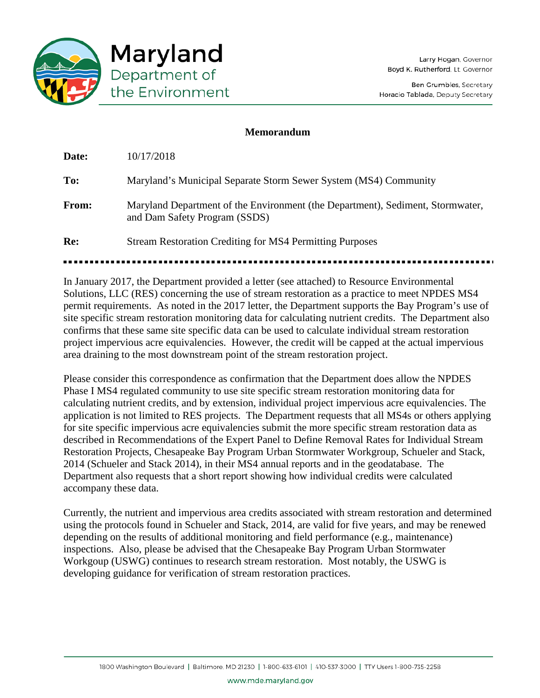

## **Memorandum**

**Date:** 10/17/2018 **To:** Maryland's Municipal Separate Storm Sewer System (MS4) Community **From:** Maryland Department of the Environment (the Department), Sediment, Stormwater, and Dam Safety Program (SSDS) **Re:** Stream Restoration Crediting for MS4 Permitting Purposes

In January 2017, the Department provided a letter (see attached) to Resource Environmental Solutions, LLC (RES) concerning the use of stream restoration as a practice to meet NPDES MS4 permit requirements. As noted in the 2017 letter, the Department supports the Bay Program's use of site specific stream restoration monitoring data for calculating nutrient credits. The Department also confirms that these same site specific data can be used to calculate individual stream restoration project impervious acre equivalencies. However, the credit will be capped at the actual impervious area draining to the most downstream point of the stream restoration project.

Please consider this correspondence as confirmation that the Department does allow the NPDES Phase I MS4 regulated community to use site specific stream restoration monitoring data for calculating nutrient credits, and by extension, individual project impervious acre equivalencies. The application is not limited to RES projects. The Department requests that all MS4s or others applying for site specific impervious acre equivalencies submit the more specific stream restoration data as described in Recommendations of the Expert Panel to Define Removal Rates for Individual Stream Restoration Projects, Chesapeake Bay Program Urban Stormwater Workgroup, Schueler and Stack, 2014 (Schueler and Stack 2014), in their MS4 annual reports and in the geodatabase. The Department also requests that a short report showing how individual credits were calculated accompany these data.

Currently, the nutrient and impervious area credits associated with stream restoration and determined using the protocols found in Schueler and Stack, 2014, are valid for five years, and may be renewed depending on the results of additional monitoring and field performance (e.g., maintenance) inspections. Also, please be advised that the Chesapeake Bay Program Urban Stormwater Workgoup (USWG) continues to research stream restoration. Most notably, the USWG is developing guidance for verification of stream restoration practices.

www.mde.maryland.gov